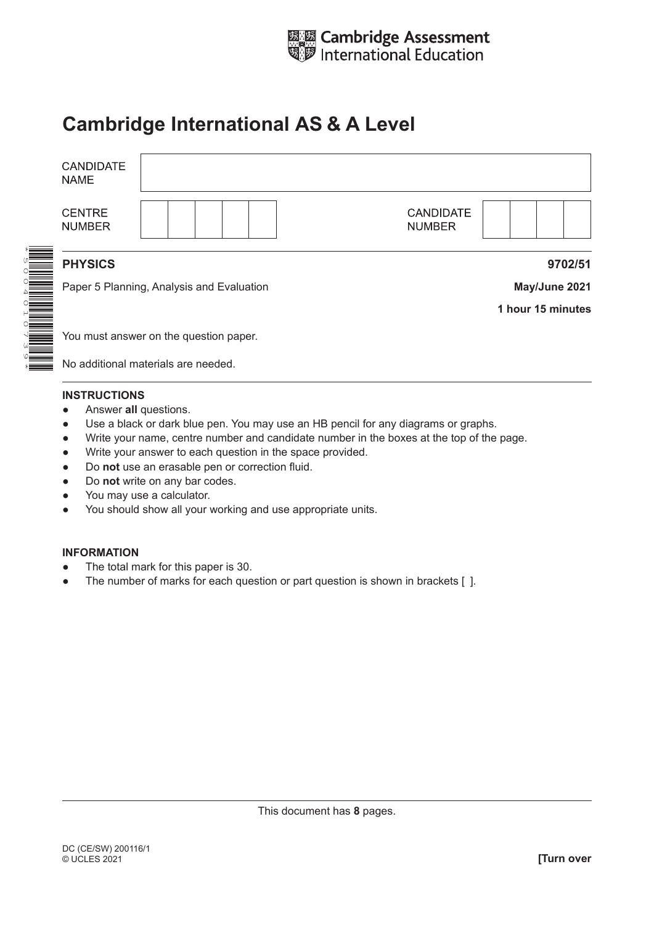

## **Cambridge International AS & A Level**

| <b>CANDIDATE</b><br><b>NAME</b> |                                           |                                   |  |  |  |  |
|---------------------------------|-------------------------------------------|-----------------------------------|--|--|--|--|
| <b>CENTRE</b><br><b>NUMBER</b>  |                                           | <b>CANDIDATE</b><br><b>NUMBER</b> |  |  |  |  |
| <b>PHYSICS</b>                  |                                           | 9702/51                           |  |  |  |  |
|                                 | Paper 5 Planning, Analysis and Evaluation | May/June 2021                     |  |  |  |  |
|                                 |                                           | 1 hour 15 minutes                 |  |  |  |  |
|                                 | You must answer on the question paper.    |                                   |  |  |  |  |
|                                 | No additional materials are needed        |                                   |  |  |  |  |

No additional materials are needed.

## **INSTRUCTIONS**

- **•** Answer all questions.
- Use a black or dark blue pen. You may use an HB pencil for any diagrams or graphs.
- Write your name, centre number and candidate number in the boxes at the top of the page.
- Write your answer to each question in the space provided.
- Do **not** use an erasable pen or correction fluid.
- Do **not** write on any bar codes.
- You may use a calculator.
- You should show all your working and use appropriate units.

## **INFORMATION**

- The total mark for this paper is 30.
- The number of marks for each question or part question is shown in brackets [ ].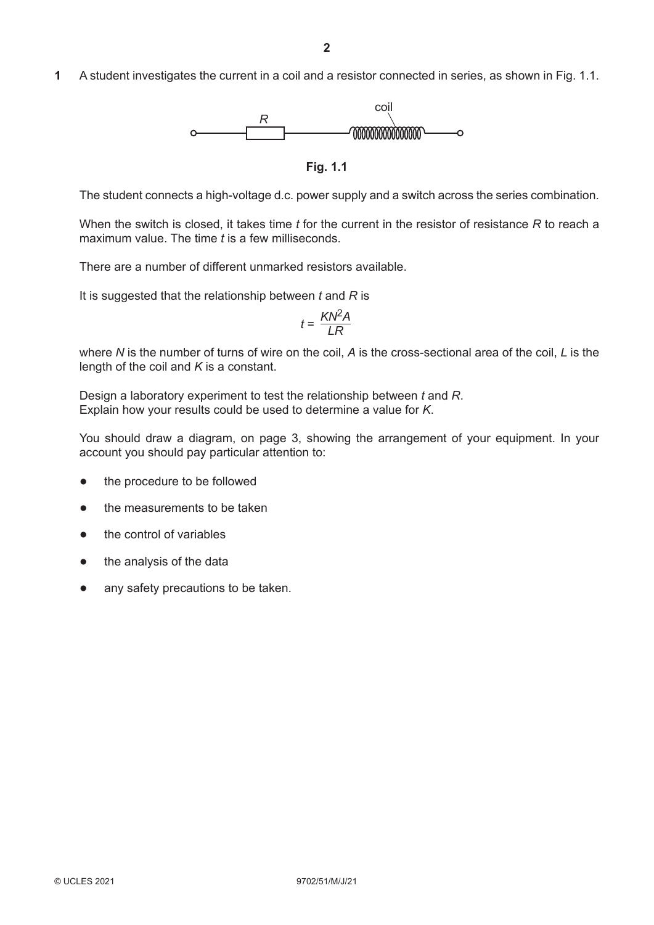**1** A student investigates the current in a coil and a resistor connected in series, as shown in Fig. 1.1.



**Fig. 1.1**

The student connects a high-voltage d.c. power supply and a switch across the series combination.

When the switch is closed, it takes time *t* for the current in the resistor of resistance *R* to reach a maximum value. The time *t* is a few milliseconds.

There are a number of different unmarked resistors available.

It is suggested that the relationship between *t* and *R* is

$$
t = \frac{KN^2A}{LR}
$$

where *N* is the number of turns of wire on the coil, *A* is the cross-sectional area of the coil, *L* is the length of the coil and *K* is a constant.

Design a laboratory experiment to test the relationship between *t* and *R*. Explain how your results could be used to determine a value for *K*.

You should draw a diagram, on page 3, showing the arrangement of your equipment. In your account you should pay particular attention to:

- the procedure to be followed
- the measurements to be taken
- the control of variables
- the analysis of the data
- any safety precautions to be taken.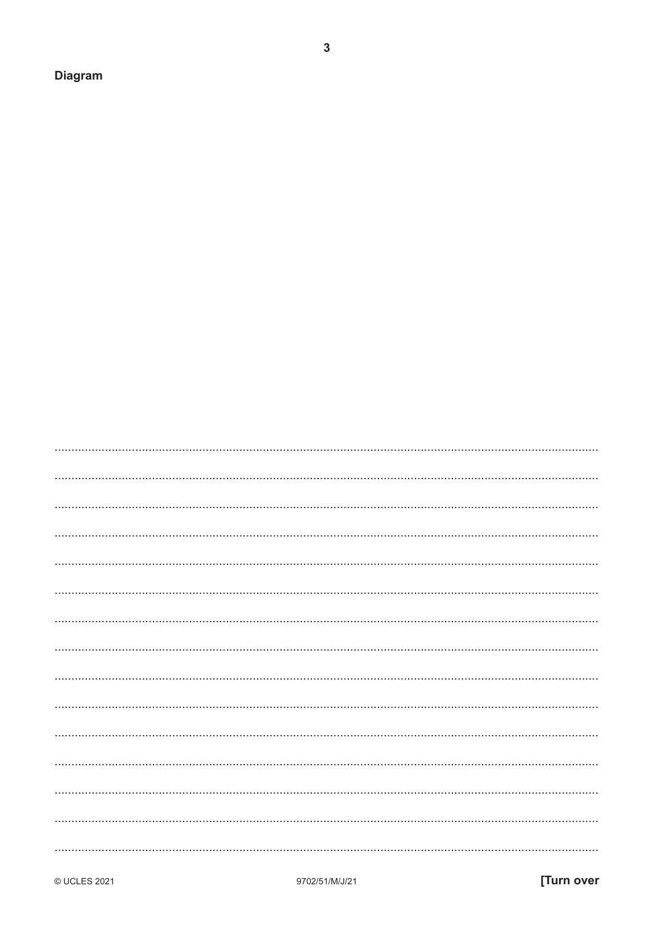**Diagram** 

- 
- 
- -
	-
- 

 $\overline{3}$ 

- 
- 
- 
- 

- 
-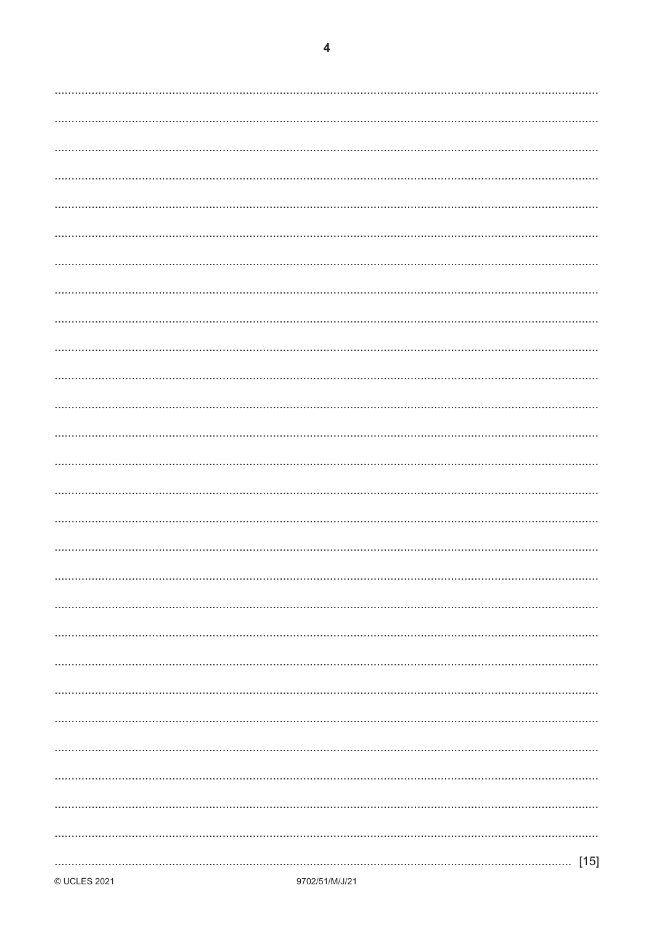| $[15]$ |
|--------|
|        |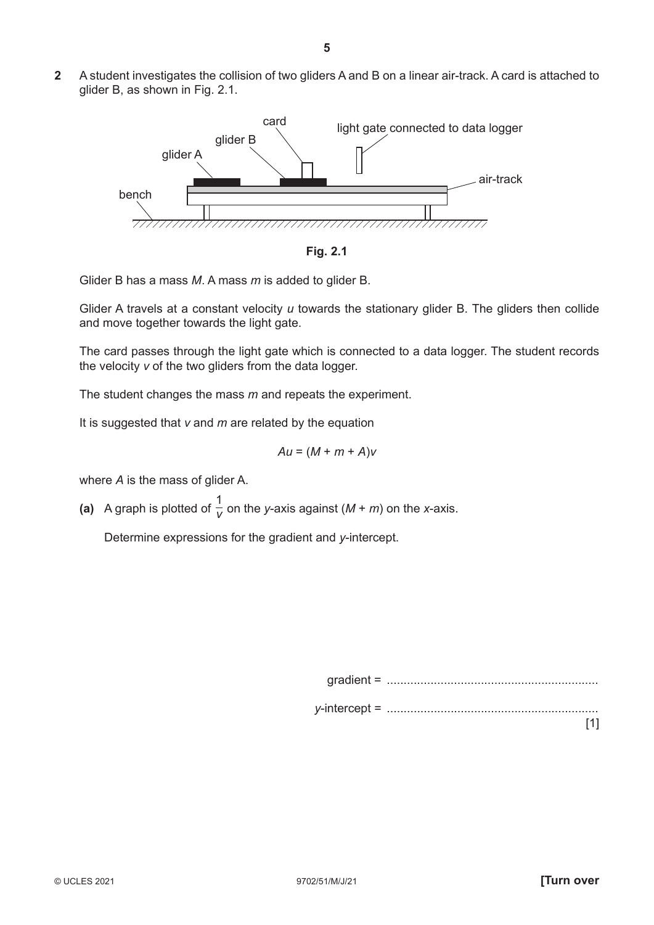**2** A student investigates the collision of two gliders A and B on a linear air-track. A card is attached to glider B, as shown in Fig. 2.1.



**Fig. 2.1**

Glider B has a mass *M*. A mass *m* is added to glider B.

Glider A travels at a constant velocity *u* towards the stationary glider B. The gliders then collide and move together towards the light gate.

The card passes through the light gate which is connected to a data logger. The student records the velocity *v* of the two gliders from the data logger.

The student changes the mass *m* and repeats the experiment.

It is suggested that *v* and *m* are related by the equation

$$
Au = (M + m + A)v
$$

where *A* is the mass of glider A.

(a) A graph is plotted of  $\frac{1}{v}$  on the *y*-axis against (*M* + *m*) on the *x*-axis.

Determine expressions for the gradient and *y*-intercept.

gradient = ............................................................... *y*-intercept = ............................................................... [1]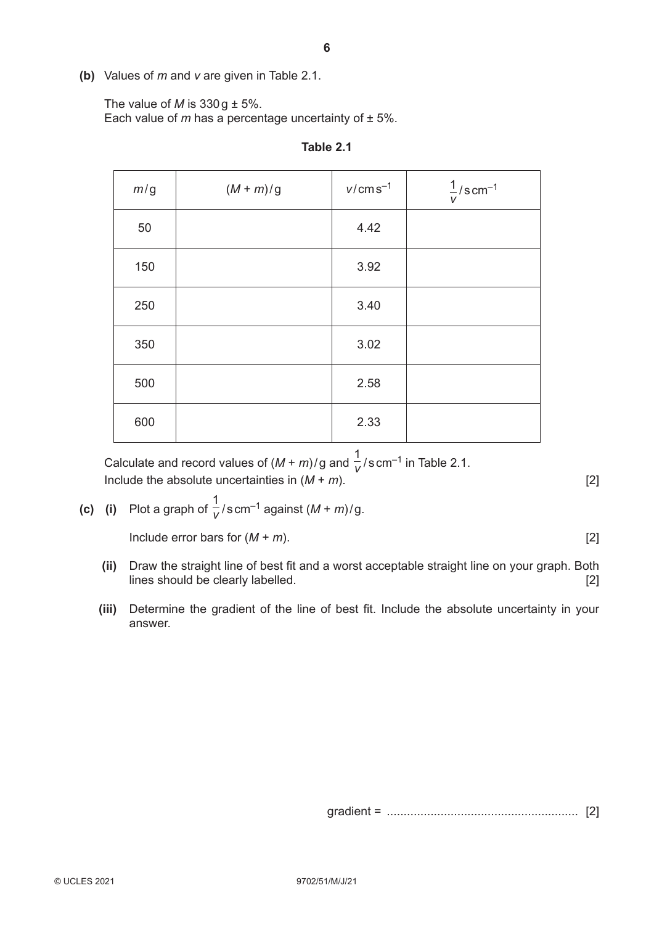**(b)** Values of *m* and *v* are given in Table 2.1.

The value of *M* is  $330g \pm 5\%$ .

Each value of  *has a percentage uncertainty of*  $\pm$  *5%.* 

| m/g | $(M+m)/g$ | $v/cm s^{-1}$ | $\frac{1}{v}/s$ cm <sup>-1</sup> |
|-----|-----------|---------------|----------------------------------|
| 50  |           | 4.42          |                                  |
| 150 |           | 3.92          |                                  |
| 250 |           | 3.40          |                                  |
| 350 |           | 3.02          |                                  |
| 500 |           | 2.58          |                                  |
| 600 |           | 2.33          |                                  |

**Table 2.1**

Calculate and record values of  $(M + m)/g$  and  $\frac{1}{V}/s$  cm<sup>-1</sup> in Table 2.1. Include the absolute uncertainties in  $(M + m)$ . [2]

**(c)** (i) Plot a graph of  $\frac{1}{V}/s$  cm<sup>-1</sup> against  $(M + m)/g$ .

 $\lceil 2 \rceil$ 

- **(ii)** Draw the straight line of best fit and a worst acceptable straight line on your graph. Both lines should be clearly labelled. [2]
- **(iii)** Determine the gradient of the line of best fit. Include the absolute uncertainty in your answer.

gradient = ......................................................... [2]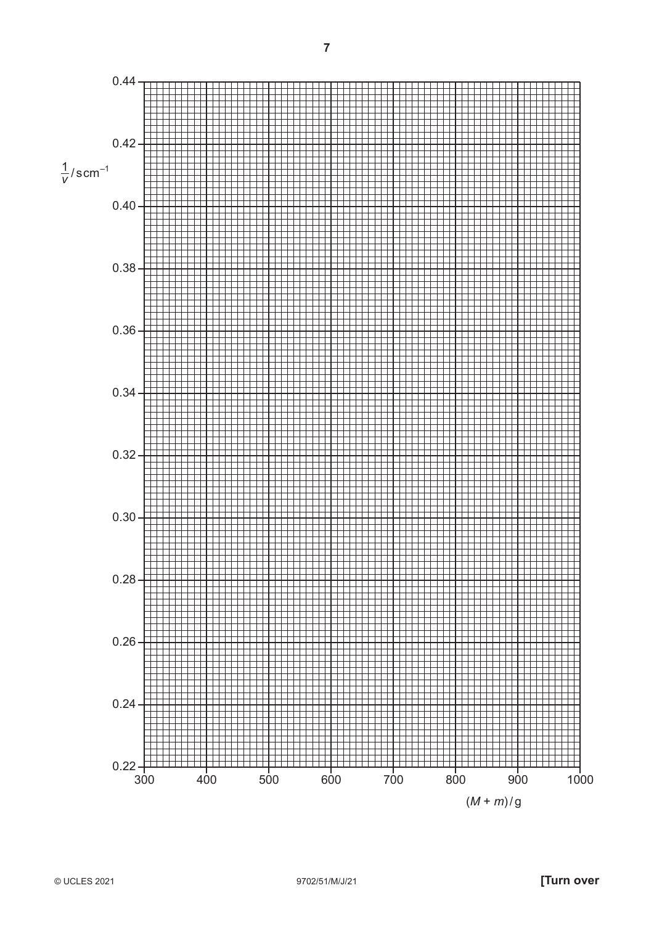